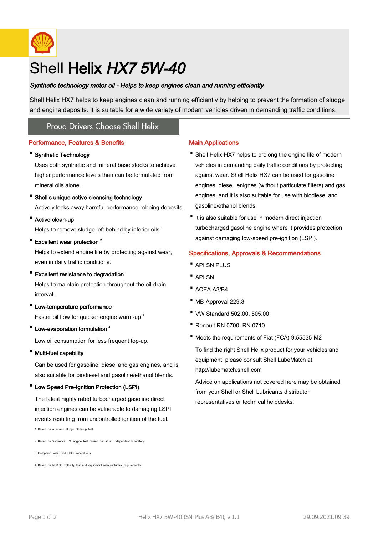

# Shell Helix HX7 5W-40

# Synthetic technology motor oil - Helps to keep engines clean and running efficiently

Shell Helix HX7 helps to keep engines clean and running efficiently by helping to prevent the formation of sludge and engine deposits. It is suitable for a wide variety of modern vehicles driven in demanding traffic conditions.

# **Proud Drivers Choose Shell Helix**

# Performance, Features & Benefits

#### · Synthetic Technology

Uses both synthetic and mineral base stocks to achieve higher performance levels than can be formulated from mineral oils alone.

#### · Shell's unique active cleansing technology

Actively locks away harmful performance-robbing deposits.

· Active clean-up

Helps to remove sludge left behind by inferior oils 1

# • Excellent wear protection<sup>2</sup>

Helps to extend engine life by protecting against wear, even in daily traffic conditions.

#### · Excellent resistance to degradation

Helps to maintain protection throughout the oil-drain interval.

- · Low-temperature performance Faster oil flow for quicker engine warm-up<sup>3</sup>
- Low-evaporation formulation <sup>4</sup>

Low oil consumption for less frequent top-up.

· Multi-fuel capability

Can be used for gasoline, diesel and gas engines, and is also suitable for biodiesel and gasoline/ethanol blends.

#### · Low Speed Pre-Ignition Protection (LSPI)

The latest highly rated turbocharged gasoline direct injection engines can be vulnerable to damaging LSPI events resulting from uncontrolled ignition of the fuel.

1 Based on a severe sludge clean-up test

2 Based on Sequence IVA engine test carried out at an independent laboratory

3 Compared with Shell Helix mineral oils

4 Based on NOACK volatility test and equipment manufacturers' requirements

# Main Applications

- Shell Helix HX7 helps to prolong the engine life of modern vehicles in demanding daily traffic conditions by protecting against wear. Shell Helix HX7 can be used for gasoline engines, diesel enignes (without particulate filters) and gas engines, and it is also suitable for use with biodiesel and gasoline/ethanol blends.
- It is also suitable for use in modern direct injection turbocharged gasoline engine where it provides protection against damaging low-speed pre-ignition (LSPI).

# Specifications, Approvals & Recommendations

- · API SN PLUS
- · API SN
- · ACEA A3/B4
- · MB-Approval 229.3
- · VW Standard 502.00, 505.00
- · Renault RN 0700, RN 0710
- · Meets the requirements of Fiat (FCA) 9.55535-M2

To find the right Shell Helix product for your vehicles and equipment, please consult Shell LubeMatch at: http://lubematch.shell.com

Advice on applications not covered here may be obtained from your Shell or Shell Lubricants distributor representatives or technical helpdesks.